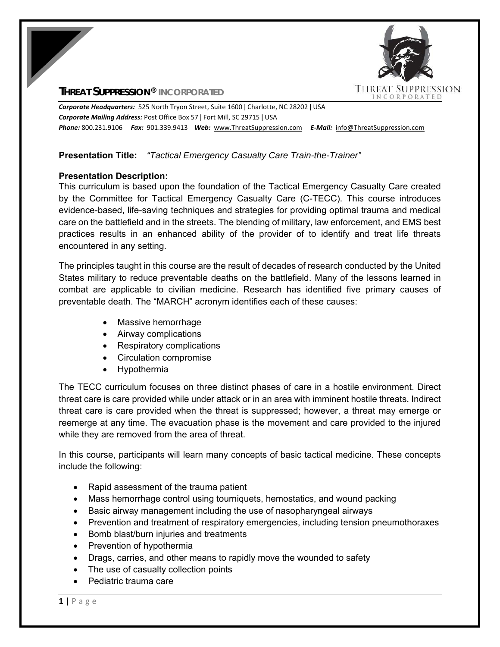## **THREAT SUPPRESSION® INCORPORATED**



*Corporate Headquarters:* 525 North Tryon Street, Suite 1600 ǀ Charlotte, NC 28202 ǀ USA *Corporate Mailing Address:* Post Office Box 57 ǀ Fort Mill, SC 29715 ǀ USA *Phone:* 800.231.9106  *Fax:* 901.339.9413 *Web:* www.ThreatSuppression.com *E‐Mail:*  info@ThreatSuppression.com

# **Presentation Title:** *"Tactical Emergency Casualty Care Train-the-Trainer"*

## **Presentation Description:**

This curriculum is based upon the foundation of the Tactical Emergency Casualty Care created by the Committee for Tactical Emergency Casualty Care (C-TECC). This course introduces evidence-based, life-saving techniques and strategies for providing optimal trauma and medical care on the battlefield and in the streets. The blending of military, law enforcement, and EMS best practices results in an enhanced ability of the provider of to identify and treat life threats encountered in any setting.

The principles taught in this course are the result of decades of research conducted by the United States military to reduce preventable deaths on the battlefield. Many of the lessons learned in combat are applicable to civilian medicine. Research has identified five primary causes of preventable death. The "MARCH" acronym identifies each of these causes:

- Massive hemorrhage
- Airway complications
- Respiratory complications
- Circulation compromise
- Hypothermia

The TECC curriculum focuses on three distinct phases of care in a hostile environment. Direct threat care is care provided while under attack or in an area with imminent hostile threats. Indirect threat care is care provided when the threat is suppressed; however, a threat may emerge or reemerge at any time. The evacuation phase is the movement and care provided to the injured while they are removed from the area of threat.

In this course, participants will learn many concepts of basic tactical medicine. These concepts include the following:

- Rapid assessment of the trauma patient
- Mass hemorrhage control using tourniquets, hemostatics, and wound packing
- Basic airway management including the use of nasopharyngeal airways
- Prevention and treatment of respiratory emergencies, including tension pneumothoraxes
- Bomb blast/burn injuries and treatments
- Prevention of hypothermia
- Drags, carries, and other means to rapidly move the wounded to safety
- The use of casualty collection points
- Pediatric trauma care